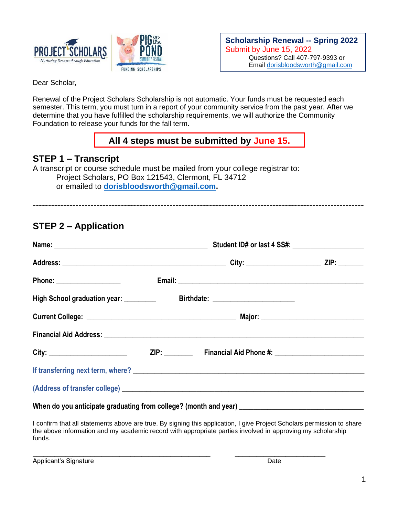

**Scholarship Renewal -- Spring 2022** Submit by June 15, 2022 Questions? Call 407-797-9393 or Email [dorisbloodsworth@gmail.com](mailto:dorisbloodsworth@gmail.com)

Dear Scholar,

Renewal of the Project Scholars Scholarship is not automatic. Your funds must be requested each semester. This term, you must turn in a report of your community service from the past year. After we determine that you have fulfilled the scholarship requirements, we will authorize the Community Foundation to release your funds for the fall term.

# **All 4 steps must be submitted by June 15.**

# **STEP 1 – Transcript**

A transcript or course schedule must be mailed from your college registrar to: Project Scholars, PO Box 121543, Clermont, FL 34712 or emailed to **[dorisbloodsworth@gmail.com.](mailto:dorisbloodsworth@gmail.com)**

-------------------------------------------------------------------------------------------------------------

# **STEP 2 – Application**

| Student ID# or last 4 SS#: \\essiming \\essiming \\essiming \\essiming \\essiming \\essiming \\essiming \\essiming \\essiming \\essiming \\essiming \\essiming \\essiming \\essiming \\essiming \\essiming \\essiming \\essimi |                                                                                                                                                                                                                               |  |
|--------------------------------------------------------------------------------------------------------------------------------------------------------------------------------------------------------------------------------|-------------------------------------------------------------------------------------------------------------------------------------------------------------------------------------------------------------------------------|--|
|                                                                                                                                                                                                                                |                                                                                                                                                                                                                               |  |
|                                                                                                                                                                                                                                |                                                                                                                                                                                                                               |  |
|                                                                                                                                                                                                                                |                                                                                                                                                                                                                               |  |
|                                                                                                                                                                                                                                |                                                                                                                                                                                                                               |  |
|                                                                                                                                                                                                                                |                                                                                                                                                                                                                               |  |
|                                                                                                                                                                                                                                |                                                                                                                                                                                                                               |  |
|                                                                                                                                                                                                                                | If transferring next term, where? Notice that the contract of the contract of the contract of the contract of the contract of the contract of the contract of the contract of the contract of the contract of the contract of |  |
|                                                                                                                                                                                                                                |                                                                                                                                                                                                                               |  |
|                                                                                                                                                                                                                                |                                                                                                                                                                                                                               |  |

When do you anticipate graduating from college? (month and year) \_

I confirm that all statements above are true. By signing this application, I give Project Scholars permission to share the above information and my academic record with appropriate parties involved in approving my scholarship funds.

\_\_\_\_\_\_\_\_\_\_\_\_\_\_\_\_\_\_\_\_\_\_\_\_\_\_\_\_\_\_\_\_\_\_\_\_\_\_\_\_\_\_\_\_\_\_\_\_\_ \_\_\_\_\_\_\_\_\_\_\_\_\_\_\_\_\_\_\_\_\_\_\_\_\_

Applicant's Signature **Date** Date of *Applicant's* Signature Date Date of *Date* Date of *Date*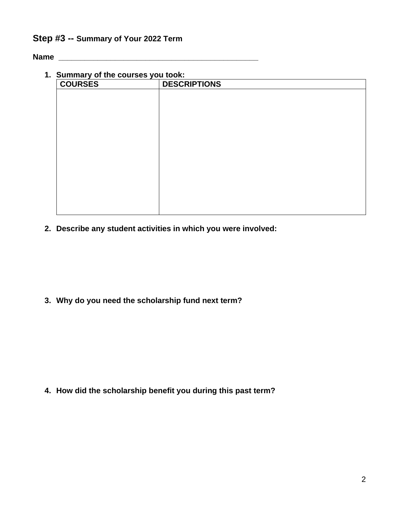### **Step #3 -- Summary of Your 2022 Term**

**Name \_\_\_\_\_\_\_\_\_\_\_\_\_\_\_\_\_\_\_\_\_\_\_\_\_\_\_\_\_\_\_\_\_\_\_\_\_\_\_\_\_\_\_\_\_\_** 

| 1. Summary of the courses you took: |                     |  |  |  |  |
|-------------------------------------|---------------------|--|--|--|--|
| <b>COURSES</b>                      | <b>DESCRIPTIONS</b> |  |  |  |  |
|                                     |                     |  |  |  |  |
|                                     |                     |  |  |  |  |
|                                     |                     |  |  |  |  |
|                                     |                     |  |  |  |  |
|                                     |                     |  |  |  |  |
|                                     |                     |  |  |  |  |
|                                     |                     |  |  |  |  |
|                                     |                     |  |  |  |  |
|                                     |                     |  |  |  |  |
|                                     |                     |  |  |  |  |
|                                     |                     |  |  |  |  |
|                                     |                     |  |  |  |  |
|                                     |                     |  |  |  |  |
|                                     |                     |  |  |  |  |
|                                     |                     |  |  |  |  |

**2. Describe any student activities in which you were involved:**

**3. Why do you need the scholarship fund next term?**

**4. How did the scholarship benefit you during this past term?**